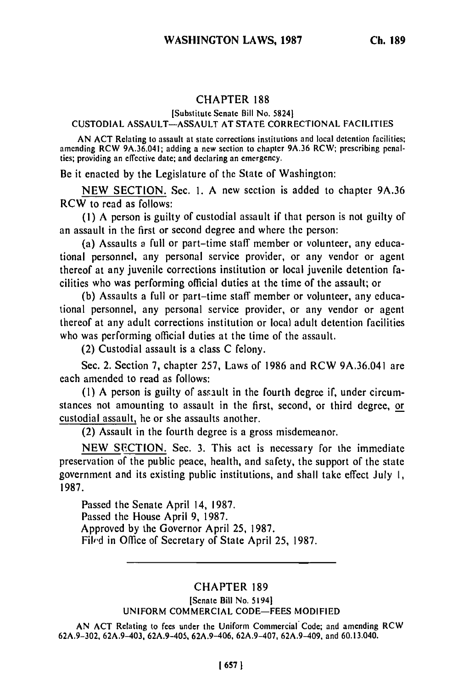# CHAPTER **188**

## [Substitute Senate Bill No. 58241

### CUSTODIAL ASSAULT-ASSAULT AT STATE CORRECTIONAL FACILITIES

AN ACT Relating to assault at state corrections institutions and local detention facilities; amending RCW 9A.36.041; adding a new section to chapter 9A.36 RCW; prescribing penalties; providing an effective date; and declaring an emergency.

Be it enacted by the Legislature of the State of Washington:

NEW SECTION. Sec. 1. A new section is added to chapter 9A.36 RCW to read as follows:

(I) A person is guilty of custodial assault if that person is not guilty of an assault in the first or second degree and where the person:

(a) Assaults a full or part-time staff member or volunteer, any educational personnel, any personal service provider, or any vendor or agent thereof at any juvenile corrections institution or local juvenile detention facilities who was performing official duties at the time of the assault; or

**(b)** Assaults a full or part-time staff member or volunteer, any educational personnel, any personal service provider, or any vendor or agent thereof at any adult corrections institution or local adult detention facilities who was performing official duties at the time of the assault.

(2) Custodial assault is a class C felony.

Sec. 2. Section 7, chapter 257, Laws of 1986 and RCW 9A.36.041 are each amended to read as follows:

**(1)** A person is guilty of asrault in the fourth degree if, under circumstances not amounting to assault in the first, second, or third degree, or custodial assault, he or she assaults another.

(2) Assault in the fourth degree is a gross misdemeanor.

NEW SECTION. Sec. 3. This act is necessary for the immediate preservation of the public peace, health, and safety, the support of the state government and its existing public institutions, and shall take effect July **1,** 1987.

Passed the Senate April 14, 1987. Passed the House April 9, 1987. Approved by the Governor April 25, 1987. Filed in Office of Secretary of State April 25, 1987.

### CHAPTER 189

#### [Senate Bill No. 5194] UNIFORM COMMERCIAL CODE-FEES MODIFIED

AN ACT Relating to fees under the Uniform Commercial Code; and amending RCW 62A.9-302, 62A.9-403, 62A.9-405, 62A.9-406, 62A.9-407, 62A.9-409, and 60.13.040.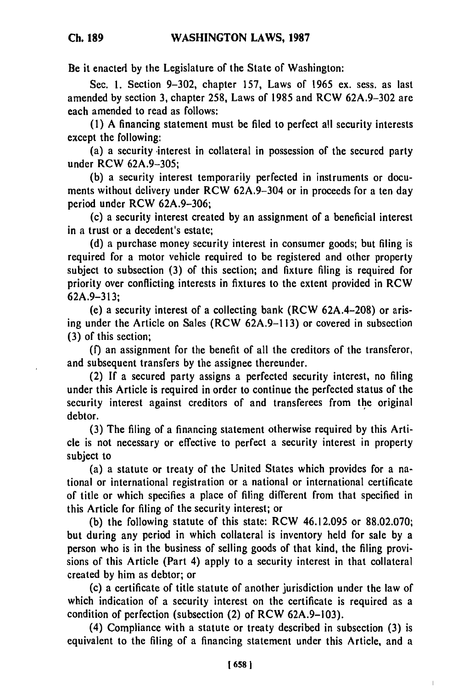Be it enacted **by** the Legislature of the State of Washington:

Sec. **1.** Section **9-302,** chapter **157,** Laws of **1965** ex. sess. as last amended **by** section **3,** chapter **258,** Laws of **1985** and RCW **62A.9-302** are each amended to read as follows:

**(1) A** financing statement must be filed to perfect all security interests except the following:

(a) a security interest in collateral in possession of the secured party under RCW **62A.9-305;**

**(b)** a security interest temporarily perfected in instruments or documents without delivery under RCW **62A.9-304** or in proceeds for a ten day period under RCW **62A.9-306;**

(c) a security interest created **by** an assignment of a beneficial interest in a trust or a decedent's estate;

**(d)** a purchase money security interest in consumer goods; but filing is required for a motor vehicle required to be registered and other property subject to subsection **(3)** of this section; and fixture filing is required for priority over conflicting interests in fixtures to the extent provided in RCW **62A.9-313;**

(e) a security interest of a collecting bank (RCW **62A.4-208)** or arising under the Article on Sales (RCW **62A.9-113)** or covered in subsection **(3)** of this section;

**(f)** an assignment for the benefit of all the creditors of the transferor, and subsequent transfers **by** the assignee thereunder.

(2) **If** a secured party assigns a perfected security interest, no filing under this Article is required in order to continue the perfected status of the security interest against creditors of and transferees from the original debtor.

**(3)** The filing of a financing statement otherwise required **by** this Article is not necessary or effective to perfect a security interest in property subject to

(a) a statute or treaty of the United States which provides for a national or international registration or a national or international certificate of title or which specifies a place of filing different from that specified in this Article for filing of the security interest; or

**(b)** the following statute of this state: RCW 46.12.095 or **88.02.070;** but during any period in which collateral is inventory held for sale **by** a person who is in the business of selling goods of that kind, the filing provisions of this Article (Part 4) apply to a security interest in that collateral created **by** him as debtor; or

(c) a certificate of title statute of another jurisdiction under the law of which indication of a security interest on the certificate is required as a condition of perfection (subsection (2) of RCW **62A.9-103).**

(4) Compliance with a statute or treaty described in subsection **(3)** is equivalent to the filing of a financing statement under this Article, and a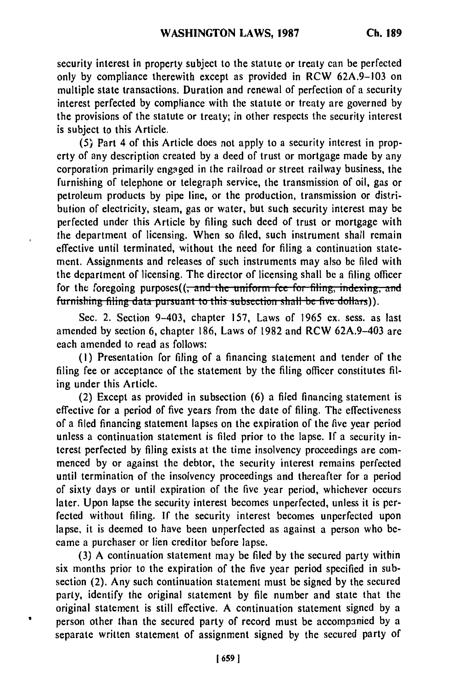security interest in property subject to the statute or treaty can be perfected only by compliance therewith except as provided in RCW 62A.9-103 on multiple state transactions. Duration and renewal of perfection of a security interest perfected **by** compliance with the statute or treaty are governed **by** the provisions of the statute or treaty; in other respects the security interest is subject to this Article.

**(5)** Part 4 of this Article does not apply to a security interest in property of any description created by a deed of trust or mortgage made by any corporation primarily engaged in the railroad or street railway business, the furnishing of telephone or telegraph service, the transmission of oil, gas or petroleum products by pipe line, or the production, transmission or distribution of electricity, steam, gas or water, but such security interest may be perfected under this Article **by** filing such deed of trust or mortgage with the department of licensing. When so filed, such instrument shall remain effective until terminated, without the need for filing a continuation statement. Assignments and releases of such instruments may also be filed with the department of licensing. The director of licensing shall be a filing officer for the foregoing purposes((<del>, and the uniform fee for filing, indexing, and</del> furnishing filing data pursuant to this subsection shall be five dollars)).

Sec. 2. Section 9-403, chapter 157, Laws of 1965 **ex.** sess. as last amended by section **6,** chapter 186, Laws of 1982 and RCW 62A.9-403 are each amended to read as follows:

**(I)** Presentation for filing of a financing statement and tender of the filing fee or acceptance of the statement by the filing officer constitutes filing under this Article.

(2) Except as provided in subsection **(6)** a filed financing statement is effective for a period of five years from the date of filing. The effectiveness of a filed financing statement lapses on the expiration of the five year period unless a continuation statement is filed prior to the lapse. If a security interest perfected by filing exists at the time insolvency proceedings **arc** commenced **by** or against the debtor, the security interest remains perfected until termination of the insolvency proceedings and thereafter for a period of sixty days or until expiration of the five year period, whichever occurs later. Upon lapse the security interest becomes unperfected, unless it is perfected without filing. If the security interest becomes unperfected upon lapse, it is deemed to have been unperfected as against a person who became a purchaser or lien creditor before lapse.

(3) A continuation statement may be filed **by** the secured party within six months prior to the expiration of the five year period specified in subsection (2). Any such continuation statement must be signed by the secured party, identify the original statement **by** file number and state that the original statement is still effective. A continuation statement signed by a person other than the secured party of record must be accompanied by a separate written statement of assignment signed **by** the secured party of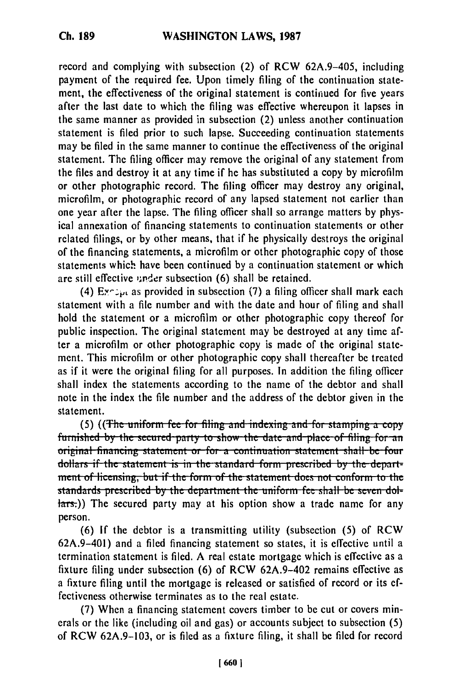record and complying with subsection (2) of RCW 62A.9-405, including payment of the required fee. Upon timely filing of the continuation statement, the effectiveness of the original statement is continued for five years after the last date to which the filing was effective whereupon it lapses in the same manner as provided in subsection (2) unless another continuation statement is filed prior to such lapse. Succeeding continuation statements may be filed in the same manner to continue the effectiveness of the original statement. The filing officer may remove the original of any statement from the files and destroy it at any time if he has substituted a copy by microfilm or other photographic record. The filing officer may destroy any original, microfilm, or photographic record of any lapsed statement not earlier than one year after the lapse. The filing officer shall so arrange matters by physical annexation of financing statements to continuation statements or other related filings, or by other means, that if he physically destroys the original of the financing statements, a microfilm or other photographic copy of those statements which have been continued by a continuation statement or which are still effective under subsection (6) shall be retained.

(4) **&-pt** as provided in subsection **(7)** a filing officer shall mark each statement with a file number and with the date and hour of filing and shall hold the statement or a microfilm or other photographic copy thereof for public inspection. The original statement may be destroyed at any time after a microfilm or other photographic copy is made of the original statement. This microfilm or other photographic copy shall thereafter be treated as if it were the original filing for all purposes. In addition the filing officer shall index the statements according to the name of the debtor and shall note in the index the file number and the address of the debtor given in the statement.

**(5) ((The uniform fee for filing and indexing and for stamping a copy)** furnished by the secured party to show the date and place of filing for an *original* financing statement or for a continuation statement shall be four dollars if the statement is in the standard form prescribed by the depart**inent of licensing, but if the form of the statement does not conform to the standards prescribed by the department the uniform fee shall be seven dol-** $\frac{1}{\pi}$ .)) The secured party may at his option show a trade name for any person.

(6) If the debtor is a transmitting utility (subsection (5) of RCW 62A.9-401) and a filed financing statement so states, it is effective until a termination statement is filed. A real estate mortgage which is effective as a fixture filing under subsection (6) of RCW 62A.9-402 remains effective as a fixture filing until the mortgage is released or satisfied of record or its effectiveness otherwise terminates as to the real estate.

(7) When a financing statement covers timber to be cut or covers minerals or the like (including oil and gas) or accounts subject to subsection (5) of RCW 62A.9-103, or is filed as a fixture filing, it shall be filed for record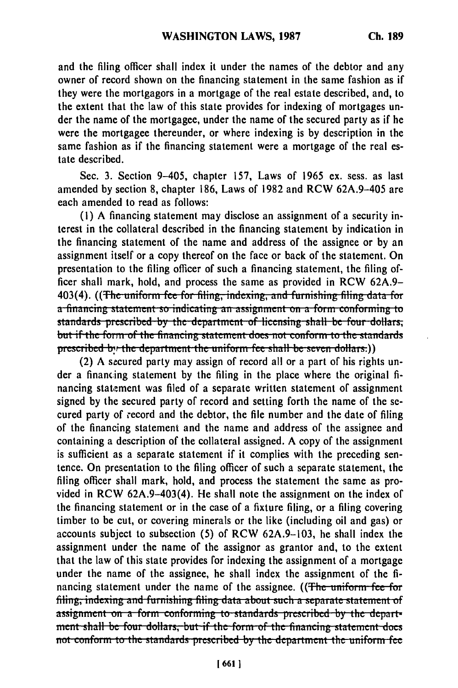and the filing officer shall index it under the names of the debtor and any owner of record shown on the financing statement in the same fashion as if they were the mortgagors in a mortgage of the real estate described, and, to the extent that the law of this state provides for indexing of mortgages under the name of the mortgagee, under the name of the secured party as if he were the mortgagee thereunder, or where indexing is by description in the same fashion as if the financing statement were a mortgage of the real estate described.

Sec. 3. Section 9-405, chapter 157, Laws of 1965 ex. sess. as last amended by section 8, chapter 186, Laws of 1982 and RCW 62A.9-405 are each amended to read as follows:

(1) A financing statement may disclose an assignment of a security interest in the collateral described in the financing statement by indication in the financing statement of the name and address of the assignee or by an assignment itself or a copy thereof on the face or back of the statement. On presentation to the filing officer of such a financing statement, the filing officer shall mark, hold, and process the same as provided in RCW 62A.9-403(4). ((The uniform fee for filing, indexing, and furnishing filing data for a financing statement so indicating an assignment on a form conforming to standards prescribed by the department of licensing shall be four dollars. but if the form of the financing statement does not conform to the standards prescribed by the department the uniform fee shall be seven dollars.))

(2) A secured party may assign of record all or a part of his rights under a financing statement by the filing in the place where the original financing statement was filed of a separate written statement of assignment signed by the secured party of record and setting forth the name of the secured party of record and the debtor, the file number and the date of filing of the financing statement and the name and address of the assignee and containing a description of the collateral assigned. A copy of the assignment is sufficient as a separate statement if it complies with the preceding sentence. On presentation to the filing officer of such a separate statement, the filing officer shall mark, hold, and process the statement the same as provided in RCW 62A.9-403(4). He shall note the assignment on the index of the financing statement or in the case of a fixture filing, or a filing covering timber to be cut, or covering minerals or the like (including oil and gas) or accounts subject to subsection (5) of RCW 62A.9-103, he shall index the assignment under the name of the assignor as grantor and, to the extent that the law of this state provides for indexing the assignment of a mortgage under the name of the assignee, he shall index the assignment of the financing statement under the name of the assignee. ((The uniform fee for filing, indexing and furnishing filing data about such a separate statement of assignment on a form conforming to standards prescribed by the department shall be four dollars, but if the form of the financing statement does not conform to the standards prescribed by the department the uniform fee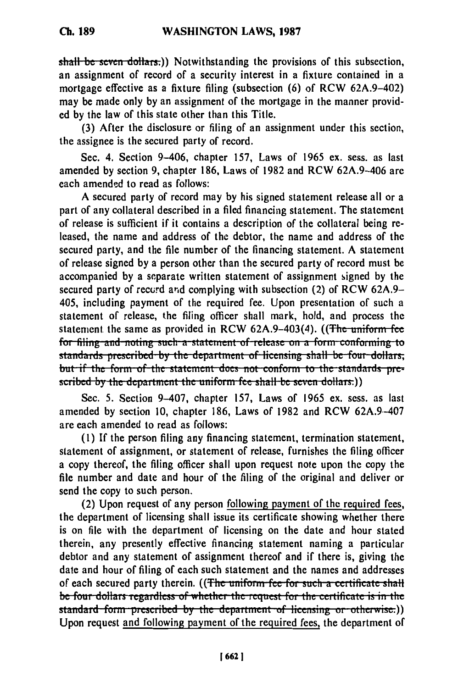shall be seven dollars.)) Notwithstanding the provisions of this subsection. an assignment of record of a security interest in a fixture contained in a mortgage effective as a fixture filing (subsection (6) of RCW 62A.9-402) may be made only by an assignment of the mortgage in the manner provided by the law of this state other than this Title.

(3) After the disclosure or filing of an assignment under this section. the assignee is the secured party of record.

Sec. 4. Section 9-406, chapter 157, Laws of 1965 ex. sess. as last amended by section 9, chapter 186, Laws of 1982 and RCW 62A.9-406 are each amended to read as follows:

A secured party of record may by his signed statement release all or a part of any collateral described in a filed financing statement. The statement of release is sufficient if it contains a description of the collateral being released, the name and address of the debtor, the name and address of the secured party, and the file number of the financing statement. A statement of release signed by a person other than the secured party of record must be accompanied by a separate written statement of assignment signed by the secured party of record and complying with subsection (2) of RCW 62A.9– 405. including payment of the required fee. Upon presentation of such a statement of release, the filing officer shall mark, hold, and process the statement the same as provided in RCW 62A.9-403(4). ((The uniform fee for filing-and-noting such a statement of release on a form conforming to standards prescribed by the department of licensing shall be four dollars, but if the form of the statement does not conform to the standards prescribed by the department the uniform fee shall be seven dollars.)

Sec. 5. Section 9-407, chapter 157, Laws of 1965 ex. sess. as last amended by section 10, chapter 186, Laws of 1982 and RCW 62A.9-407 are each amended to read as follows:

(1) If the person filing any financing statement, termination statement, statement of assignment, or statement of release, furnishes the filing officer a copy thereof, the filing officer shall upon request note upon the copy the file number and date and hour of the filing of the original and deliver or send the copy to such person.

(2) Upon request of any person following payment of the required fees, the department of licensing shall issue its certificate showing whether there is on file with the department of licensing on the date and hour stated therein, any presently effective financing statement naming a particular debtor and any statement of assignment thereof and if there is, giving the date and hour of filing of each such statement and the names and addresses of each secured party therein. ((The uniform fee for such a certificate shall be four dollars regardless of whether the request for the certificate is in the standard form prescribed by the department of licensing or otherwise.)) Upon request and following payment of the required fees, the department of